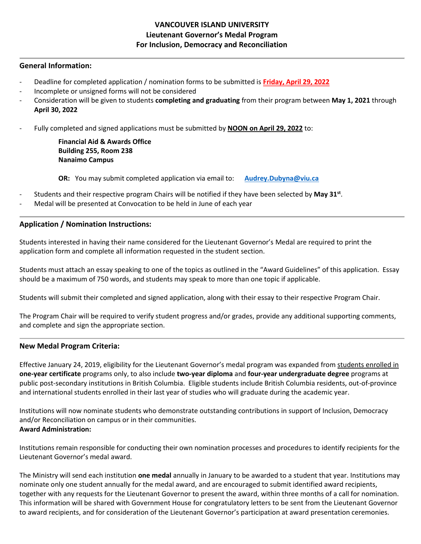# **VANCOUVER ISLAND UNIVERSITY Lieutenant Governor's Medal Program For Inclusion, Democracy and Reconciliation**

## **General Information:**

- Deadline for completed application / nomination forms to be submitted is **Friday, April 29, 2022**
- Incomplete or unsigned forms will not be considered
- Consideration will be given to students **completing and graduating** from their program between **May 1, 2021** through **April 30, 2022**
- Fully completed and signed applications must be submitted by **NOON on April 29, 2022** to:

**Financial Aid & Awards Office Building 255, Room 238 Nanaimo Campus** 

**OR:** You may submit completed application via email to: **[Audrey.Dubyna@viu.ca](mailto:Audrey.Dubyna@viu.ca)**

- Students and their respective program Chairs will be notified if they have been selected by **May 31st** .
- Medal will be presented at Convocation to be held in June of each year

## **Application / Nomination Instructions:**

Students interested in having their name considered for the Lieutenant Governor's Medal are required to print the application form and complete all information requested in the student section.

Students must attach an essay speaking to one of the topics as outlined in the "Award Guidelines" of this application. Essay should be a maximum of 750 words, and students may speak to more than one topic if applicable.

Students will submit their completed and signed application, along with their essay to their respective Program Chair.

The Program Chair will be required to verify student progress and/or grades, provide any additional supporting comments, and complete and sign the appropriate section.

#### **New Medal Program Criteria:**

Effective January 24, 2019, eligibility for the Lieutenant Governor's medal program was expanded from students enrolled in **one-year certificate** programs only, to also include **two-year diploma** and **four-year undergraduate degree** programs at public post-secondary institutions in British Columbia. Eligible students include British Columbia residents, out-of-province and international students enrolled in their last year of studies who will graduate during the academic year.

Institutions will now nominate students who demonstrate outstanding contributions in support of Inclusion, Democracy and/or Reconciliation on campus or in their communities. **Award Administration:**

Institutions remain responsible for conducting their own nomination processes and procedures to identify recipients for the Lieutenant Governor's medal award.

The Ministry will send each institution **one medal** annually in January to be awarded to a student that year. Institutions may nominate only one student annually for the medal award, and are encouraged to submit identified award recipients, together with any requests for the Lieutenant Governor to present the award, within three months of a call for nomination. This information will be shared with Government House for congratulatory letters to be sent from the Lieutenant Governor to award recipients, and for consideration of the Lieutenant Governor's participation at award presentation ceremonies.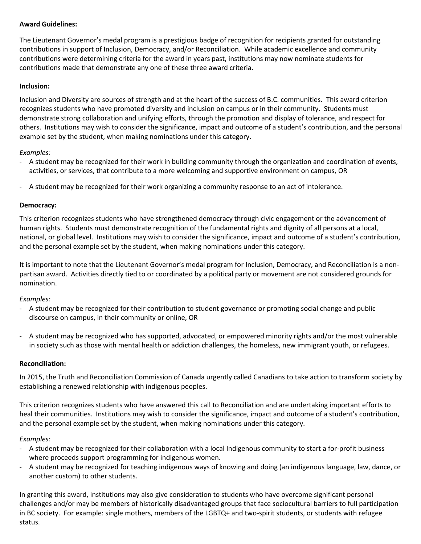## **Award Guidelines:**

The Lieutenant Governor's medal program is a prestigious badge of recognition for recipients granted for outstanding contributions in support of Inclusion, Democracy, and/or Reconciliation. While academic excellence and community contributions were determining criteria for the award in years past, institutions may now nominate students for contributions made that demonstrate any one of these three award criteria.

## **Inclusion:**

Inclusion and Diversity are sources of strength and at the heart of the success of B.C. communities. This award criterion recognizes students who have promoted diversity and inclusion on campus or in their community. Students must demonstrate strong collaboration and unifying efforts, through the promotion and display of tolerance, and respect for others. Institutions may wish to consider the significance, impact and outcome of a student's contribution, and the personal example set by the student, when making nominations under this category.

## *Examples:*

- A student may be recognized for their work in building community through the organization and coordination of events, activities, or services, that contribute to a more welcoming and supportive environment on campus, OR
- A student may be recognized for their work organizing a community response to an act of intolerance.

#### **Democracy:**

This criterion recognizes students who have strengthened democracy through civic engagement or the advancement of human rights. Students must demonstrate recognition of the fundamental rights and dignity of all persons at a local, national, or global level. Institutions may wish to consider the significance, impact and outcome of a student's contribution, and the personal example set by the student, when making nominations under this category.

It is important to note that the Lieutenant Governor's medal program for Inclusion, Democracy, and Reconciliation is a nonpartisan award. Activities directly tied to or coordinated by a political party or movement are not considered grounds for nomination.

#### *Examples:*

- A student may be recognized for their contribution to student governance or promoting social change and public discourse on campus, in their community or online, OR
- A student may be recognized who has supported, advocated, or empowered minority rights and/or the most vulnerable in society such as those with mental health or addiction challenges, the homeless, new immigrant youth, or refugees.

#### **Reconciliation:**

In 2015, the Truth and Reconciliation Commission of Canada urgently called Canadians to take action to transform society by establishing a renewed relationship with indigenous peoples.

This criterion recognizes students who have answered this call to Reconciliation and are undertaking important efforts to heal their communities. Institutions may wish to consider the significance, impact and outcome of a student's contribution, and the personal example set by the student, when making nominations under this category.

#### *Examples:*

- A student may be recognized for their collaboration with a local Indigenous community to start a for-profit business where proceeds support programming for indigenous women.
- A student may be recognized for teaching indigenous ways of knowing and doing (an indigenous language, law, dance, or another custom) to other students.

In granting this award, institutions may also give consideration to students who have overcome significant personal challenges and/or may be members of historically disadvantaged groups that face sociocultural barriers to full participation in BC society. For example: single mothers, members of the LGBTQ+ and two-spirit students, or students with refugee status.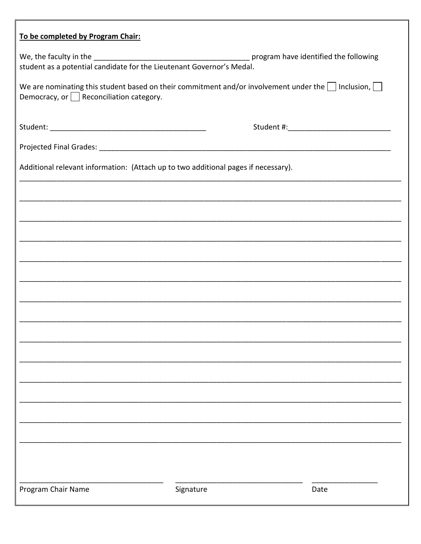| To be completed by Program Chair:                                                                                                                               |           |      |  |  |  |
|-----------------------------------------------------------------------------------------------------------------------------------------------------------------|-----------|------|--|--|--|
|                                                                                                                                                                 |           |      |  |  |  |
| We are nominating this student based on their commitment and/or involvement under the $\Box$ Inclusion, $\Box$<br>Democracy, or $\Box$ Reconciliation category. |           |      |  |  |  |
|                                                                                                                                                                 |           |      |  |  |  |
|                                                                                                                                                                 |           |      |  |  |  |
| Additional relevant information: (Attach up to two additional pages if necessary).                                                                              |           |      |  |  |  |
|                                                                                                                                                                 |           |      |  |  |  |
|                                                                                                                                                                 |           |      |  |  |  |
|                                                                                                                                                                 |           |      |  |  |  |
|                                                                                                                                                                 |           |      |  |  |  |
|                                                                                                                                                                 |           |      |  |  |  |
|                                                                                                                                                                 |           |      |  |  |  |
|                                                                                                                                                                 |           |      |  |  |  |
|                                                                                                                                                                 |           |      |  |  |  |
|                                                                                                                                                                 |           |      |  |  |  |
|                                                                                                                                                                 |           |      |  |  |  |
|                                                                                                                                                                 |           |      |  |  |  |
|                                                                                                                                                                 |           |      |  |  |  |
|                                                                                                                                                                 |           |      |  |  |  |
| Program Chair Name                                                                                                                                              | Signature | Date |  |  |  |